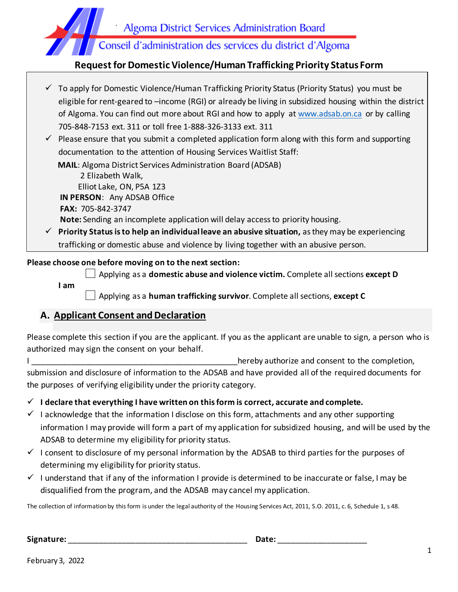

### **Request for Domestic Violence/Human Trafficking Priority Status Form**

|              | $\checkmark$ To apply for Domestic Violence/Human Trafficking Priority Status (Priority Status) you must be |
|--------------|-------------------------------------------------------------------------------------------------------------|
|              | eligible for rent-geared to -income (RGI) or already be living in subsidized housing within the district    |
|              | of Algoma. You can find out more about RGI and how to apply at www.adsab.on.ca or by calling                |
|              | 705-848-7153 ext. 311 or toll free 1-888-326-3133 ext. 311                                                  |
|              | $\checkmark$ Please ensure that you submit a completed application form along with this form and supporting |
|              | documentation to the attention of Housing Services Waitlist Staff:                                          |
|              | <b>MAIL:</b> Algoma District Services Administration Board (ADSAB)                                          |
|              | 2 Elizabeth Walk,                                                                                           |
|              | Elliot Lake, ON, P5A 1Z3                                                                                    |
|              | IN PERSON: Any ADSAB Office                                                                                 |
|              | <b>FAX: 705-842-3747</b>                                                                                    |
|              | <b>Note:</b> Sending an incomplete application will delay access to priority housing.                       |
| $\checkmark$ | Priority Status is to help an individual leave an abusive situation, as they may be experiencing            |
|              | trafficking or domestic abuse and violence by living together with an abusive person.                       |

#### **Please choose one before moving on to the next section:**

Applying as a **domestic abuse and violence victim.** Complete all sections **except D**

**I am**

Applying as a **human trafficking survivor**. Complete all sections, **except C**

### **A. Applicant Consent and Declaration**

Please complete this section if you are the applicant. If you as the applicant are unable to sign, a person who is authorized may sign the consent on your behalf.

I \_\_\_\_\_\_\_\_\_\_\_\_\_\_\_\_\_\_\_\_\_\_\_\_\_\_\_\_\_\_\_\_\_\_\_\_\_\_\_\_\_\_\_\_\_\_hereby authorize and consent to the completion, submission and disclosure of information to the ADSAB and have provided all of the required documents for the purposes of verifying eligibility under the priority category.

✓ **I declare that everything I have written on this form is correct, accurate and complete.**

- $\checkmark$  I acknowledge that the information I disclose on this form, attachments and any other supporting information I may provide will form a part of my application for subsidized housing, and will be used by the ADSAB to determine my eligibility for priority status.
- $\checkmark$  I consent to disclosure of my personal information by the ADSAB to third parties for the purposes of determining my eligibility for priority status.
- $\checkmark$  I understand that if any of the information I provide is determined to be inaccurate or false, I may be disqualified from the program, and the ADSAB may cancel my application.

The collection of information by this form is under the legal authority of the Housing Services Act, 2011, S.O. 2011, c. 6, Schedule 1, s 48.

**Signature:** \_\_\_\_\_\_\_\_\_\_\_\_\_\_\_\_\_\_\_\_\_\_\_\_\_\_\_\_\_\_\_\_\_\_\_\_\_\_\_\_ **Date:** \_\_\_\_\_\_\_\_\_\_\_\_\_\_\_\_\_\_\_\_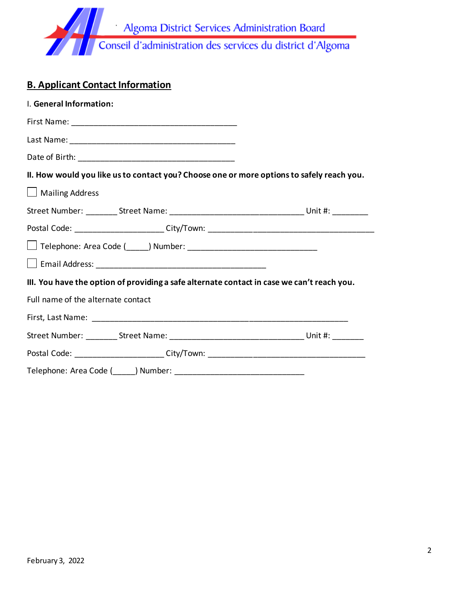

# **B. Applicant Contact Information**

| I. General Information:                                                                    |  |
|--------------------------------------------------------------------------------------------|--|
|                                                                                            |  |
|                                                                                            |  |
|                                                                                            |  |
| II. How would you like us to contact you? Choose one or more options to safely reach you.  |  |
| $\Box$ Mailing Address                                                                     |  |
|                                                                                            |  |
| Postal Code: ________________________City/Town: ________________________________           |  |
|                                                                                            |  |
|                                                                                            |  |
| III. You have the option of providing a safe alternate contact in case we can't reach you. |  |
| Full name of the alternate contact                                                         |  |
|                                                                                            |  |
|                                                                                            |  |
| Postal Code: ______________________City/Town: __________________________________           |  |
|                                                                                            |  |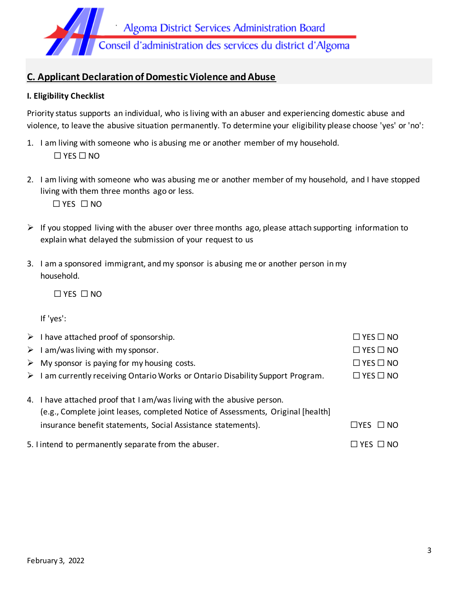

## **C. Applicant Declaration of Domestic Violence and Abuse**

#### **I. Eligibility Checklist**

Priority status supports an individual, who is living with an abuser and experiencing domestic abuse and violence, to leave the abusive situation permanently. To determine your eligibility please choose 'yes' or 'no':

- 1. I am living with someone who is abusing me or another member of my household. ☐ YES ☐ NO
- 2. I am living with someone who was abusing me or another member of my household, and I have stopped living with them three months ago or less.

☐ YES ☐ NO

- $\triangleright$  If you stopped living with the abuser over three months ago, please attach supporting information to explain what delayed the submission of your request to us
- 3. I am a sponsored immigrant, and my sponsor is abusing me or another person in my household.

☐ YES ☐ NO

If 'yes':

| $\triangleright$ I have attached proof of sponsorship.                                         | $\Box$ YES $\Box$ NO       |
|------------------------------------------------------------------------------------------------|----------------------------|
| $\triangleright$ 1 am/was living with my sponsor.                                              | $\Box$ YES $\Box$ NO       |
| $\triangleright$ My sponsor is paying for my housing costs.                                    | $\Box$ YES $\Box$ NO       |
| $\triangleright$ I am currently receiving Ontario Works or Ontario Disability Support Program. | $\Box$ YES $\Box$ NO       |
|                                                                                                |                            |
| 4. I have attached proof that I am/was living with the abusive person.                         |                            |
| (e.g., Complete joint leases, completed Notice of Assessments, Original [health]               |                            |
| insurance benefit statements, Social Assistance statements).                                   | $\Box$ YES $\Box$ NO       |
| 5. I intend to permanently separate from the abuser.                                           | $\square$ yes $\square$ no |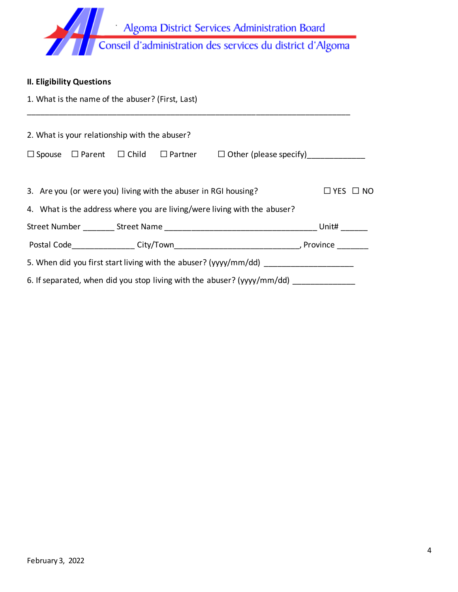

| <b>II. Eligibility Questions</b>                                        |                                   |  |
|-------------------------------------------------------------------------|-----------------------------------|--|
| 1. What is the name of the abuser? (First, Last)                        |                                   |  |
|                                                                         |                                   |  |
| 2. What is your relationship with the abuser?                           |                                   |  |
| $\Box$ $\cap$ $\Box$<br>$\Box$ Deviation<br>$\Box$ Casusa $\Box$ Devent | $\Box$ Other leteration and if it |  |

☐ Spouse ☐ Parent ☐ Child ☐ Partner ☐ Other (please specify)\_\_\_\_\_\_\_\_\_\_\_\_\_

| 3. Are you (or were you) living with the abuser in RGI housing?          | $\Box$ YES $\Box$ NO |  |
|--------------------------------------------------------------------------|----------------------|--|
| 4. What is the address where you are living/were living with the abuser? |                      |  |
|                                                                          | Unit#                |  |
|                                                                          | , Province           |  |
| 5. When did you first start living with the abuser? (yyyy/mm/dd)         |                      |  |
| 6. If separated, when did you stop living with the abuser? (yyyy/mm/dd)  |                      |  |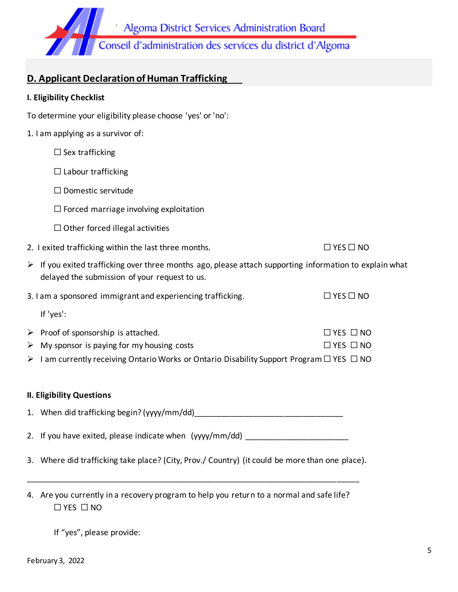

## **D. Applicant Declaration of Human Trafficking**

#### **I. Eligibility Checklist**

| To determine your eligibility please choose 'yes' or 'no':                                                                                                              |                      |  |
|-------------------------------------------------------------------------------------------------------------------------------------------------------------------------|----------------------|--|
| 1. I am applying as a survivor of:                                                                                                                                      |                      |  |
| $\Box$ Sex trafficking                                                                                                                                                  |                      |  |
| $\Box$ Labour trafficking                                                                                                                                               |                      |  |
| $\Box$ Domestic servitude                                                                                                                                               |                      |  |
| $\Box$ Forced marriage involving exploitation                                                                                                                           |                      |  |
| $\Box$ Other forced illegal activities                                                                                                                                  |                      |  |
| 2. I exited trafficking within the last three months.                                                                                                                   | $\Box$ YES $\Box$ NO |  |
| $\triangleright$ If you exited trafficking over three months ago, please attach supporting information to explain what<br>delayed the submission of your request to us. |                      |  |
| 3. I am a sponsored immigrant and experiencing trafficking.                                                                                                             | $\Box$ YES $\Box$ NO |  |
| If 'yes':                                                                                                                                                               |                      |  |
| $\triangleright$ Proof of sponsorship is attached.                                                                                                                      | $\Box$ YES $\Box$ NO |  |
| $\triangleright$ My sponsor is paying for my housing costs                                                                                                              | $\Box$ YES $\Box$ NO |  |
| $\triangleright$ I am currently receiving Ontario Works or Ontario Disability Support Program $\Box$ YES $\Box$ NO                                                      |                      |  |
|                                                                                                                                                                         |                      |  |
| <b>II. Eligibility Questions</b>                                                                                                                                        |                      |  |
|                                                                                                                                                                         |                      |  |
| 2. If you have exited, please indicate when (yyyy/mm/dd) _______________________                                                                                        |                      |  |
| 3. Where did trafficking take place? (City, Prov./ Country) (it could be more than one place).                                                                          |                      |  |

4. Are you currently in a recovery program to help you return to a normal and safe life? ☐ YES ☐ NO

\_\_\_\_\_\_\_\_\_\_\_\_\_\_\_\_\_\_\_\_\_\_\_\_\_\_\_\_\_\_\_\_\_\_\_\_\_\_\_\_\_\_\_\_\_\_\_\_\_\_\_\_\_\_\_\_\_\_\_\_\_\_\_\_\_\_\_\_\_\_\_\_\_\_

If "yes", please provide: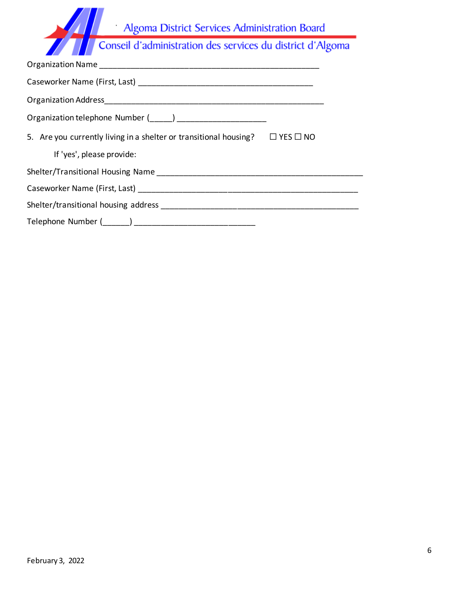|                      | Algoma District Services Administration Board                                                                   |                      |
|----------------------|-----------------------------------------------------------------------------------------------------------------|----------------------|
|                      | Conseil d'administration des services du district d'Algoma                                                      |                      |
|                      | Organization Name and the control of the control of the control of the control of the control of the control of |                      |
|                      | Caseworker Name (First, Last) and the case worker of the case of the case of the case of the case of the case o |                      |
| Organization Address |                                                                                                                 |                      |
|                      | Organization telephone Number ( )                                                                               |                      |
|                      | 5. Are you currently living in a shelter or transitional housing?                                               | $\Box$ YES $\Box$ NO |
|                      | If 'yes', please provide:                                                                                       |                      |

| Shelter/Transitional Housing Name    |  |
|--------------------------------------|--|
| Caseworker Name (First, Last)        |  |
| Shelter/transitional housing address |  |
| Telephone Number ()                  |  |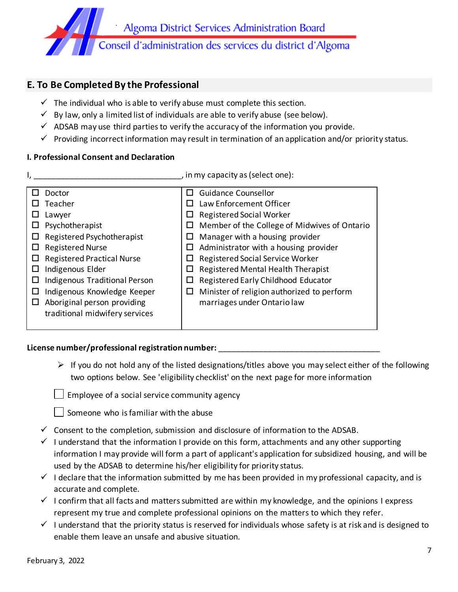

### **E. To Be Completed By the Professional**

- $\checkmark$  The individual who is able to verify abuse must complete this section.
- $\checkmark$  By law, only a limited list of individuals are able to verify abuse (see below).
- $\checkmark$  ADSAB may use third parties to verify the accuracy of the information you provide.
- $\checkmark$  Providing incorrect information may result in termination of an application and/or priority status.

### **I. Professional Consent and Declaration**

I, \_\_\_\_\_\_\_\_\_\_\_\_\_\_\_\_\_\_\_\_\_\_\_\_\_\_\_\_\_\_\_\_\_, in my capacity as (select one):

| Doctor                            | <b>Guidance Counsellor</b><br>$\mathsf{L}$        |
|-----------------------------------|---------------------------------------------------|
| Teacher                           | Law Enforcement Officer                           |
| Lawyer                            | <b>Registered Social Worker</b><br>ப              |
| Psychotherapist                   | Member of the College of Midwives of Ontario<br>ப |
| Registered Psychotherapist        | Manager with a housing provider                   |
| <b>Registered Nurse</b>           | Administrator with a housing provider             |
| <b>Registered Practical Nurse</b> | Registered Social Service Worker                  |
| Indigenous Elder                  | Registered Mental Health Therapist                |
| Indigenous Traditional Person     | Registered Early Childhood Educator               |
| Indigenous Knowledge Keeper       | Minister of religion authorized to perform<br>ப   |
| Aboriginal person providing<br>ப  | marriages under Ontario law                       |
| traditional midwifery services    |                                                   |
|                                   |                                                   |

### License number/professional registration number: \_\_\_\_\_\_\_\_\_\_\_\_\_\_\_\_\_\_\_\_\_\_\_\_\_\_\_\_\_\_\_

 $\triangleright$  If you do not hold any of the listed designations/titles above you may select either of the following two options below. See 'eligibility checklist' on the next page for more information

 $\Box$  Employee of a social service community agency

 $\vert \ \vert$  Someone who is familiar with the abuse

- $\checkmark$  Consent to the completion, submission and disclosure of information to the ADSAB.
- $\checkmark$  I understand that the information I provide on this form, attachments and any other supporting information I may provide will form a part of applicant's application for subsidized housing, and will be used by the ADSAB to determine his/her eligibility for priority status.
- $\checkmark$  I declare that the information submitted by me has been provided in my professional capacity, and is accurate and complete.
- $\checkmark$  I confirm that all facts and matters submitted are within my knowledge, and the opinions I express represent my true and complete professional opinions on the matters to which they refer.
- $\checkmark$  I understand that the priority status is reserved for individuals whose safety is at risk and is designed to enable them leave an unsafe and abusive situation.